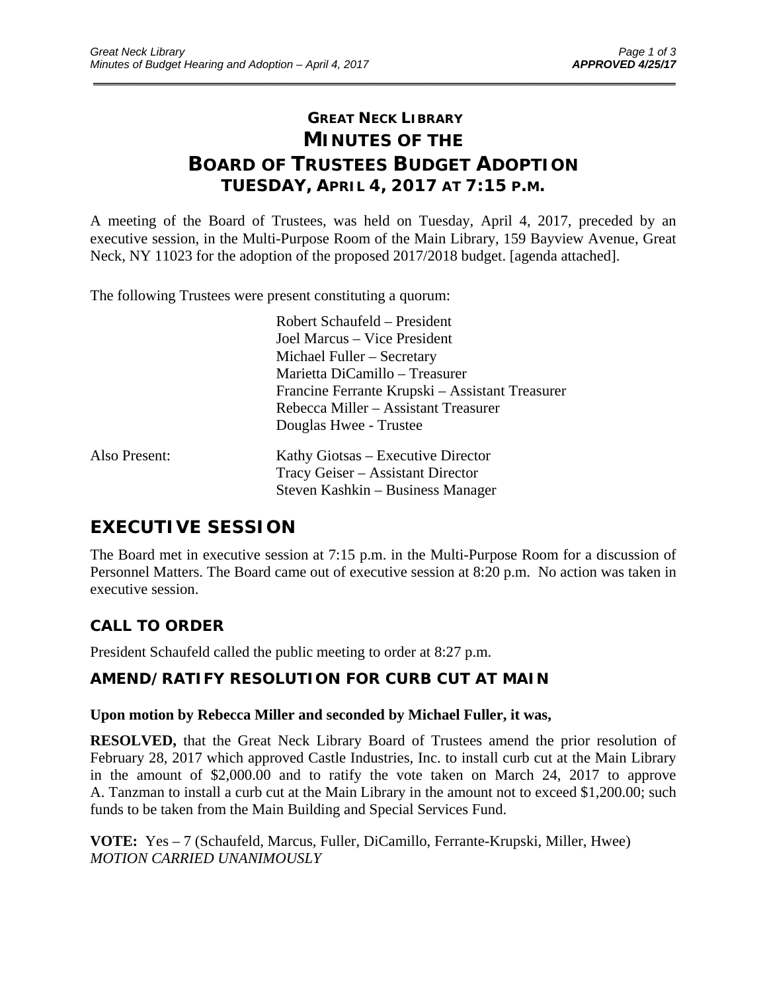# **GREAT NECK LIBRARY MINUTES OF THE BOARD OF TRUSTEES BUDGET ADOPTION TUESDAY, APRIL 4, 2017 AT 7:15 P.M.**

\_\_\_\_\_\_\_\_\_\_\_\_\_\_\_\_\_\_\_\_\_\_\_\_\_\_\_\_\_\_\_\_\_\_\_\_\_\_\_\_\_\_\_\_\_\_\_\_\_\_\_\_\_\_\_\_\_\_\_\_\_\_\_\_\_\_\_\_\_\_\_\_\_\_\_\_\_\_\_\_\_\_\_\_\_\_\_\_\_\_\_\_\_

A meeting of the Board of Trustees, was held on Tuesday, April 4, 2017, preceded by an executive session, in the Multi-Purpose Room of the Main Library, 159 Bayview Avenue, Great Neck, NY 11023 for the adoption of the proposed 2017/2018 budget. [agenda attached].

The following Trustees were present constituting a quorum:

|               | Robert Schaufeld – President                    |
|---------------|-------------------------------------------------|
|               | Joel Marcus – Vice President                    |
|               | Michael Fuller - Secretary                      |
|               | Marietta DiCamillo - Treasurer                  |
|               | Francine Ferrante Krupski – Assistant Treasurer |
|               | Rebecca Miller – Assistant Treasurer            |
|               | Douglas Hwee - Trustee                          |
| Also Present: | Kathy Giotsas – Executive Director              |
|               | Tracy Geiser – Assistant Director               |
|               | Steven Kashkin – Business Manager               |

# **EXECUTIVE SESSION**

The Board met in executive session at 7:15 p.m. in the Multi-Purpose Room for a discussion of Personnel Matters. The Board came out of executive session at 8:20 p.m. No action was taken in executive session.

### **CALL TO ORDER**

President Schaufeld called the public meeting to order at 8:27 p.m.

### **AMEND/RATIFY RESOLUTION FOR CURB CUT AT MAIN**

#### **Upon motion by Rebecca Miller and seconded by Michael Fuller, it was,**

**RESOLVED,** that the Great Neck Library Board of Trustees amend the prior resolution of February 28, 2017 which approved Castle Industries, Inc. to install curb cut at the Main Library in the amount of \$2,000.00 and to ratify the vote taken on March 24, 2017 to approve A. Tanzman to install a curb cut at the Main Library in the amount not to exceed \$1,200.00; such funds to be taken from the Main Building and Special Services Fund.

**VOTE:** Yes – 7 (Schaufeld, Marcus, Fuller, DiCamillo, Ferrante-Krupski, Miller, Hwee) *MOTION CARRIED UNANIMOUSLY*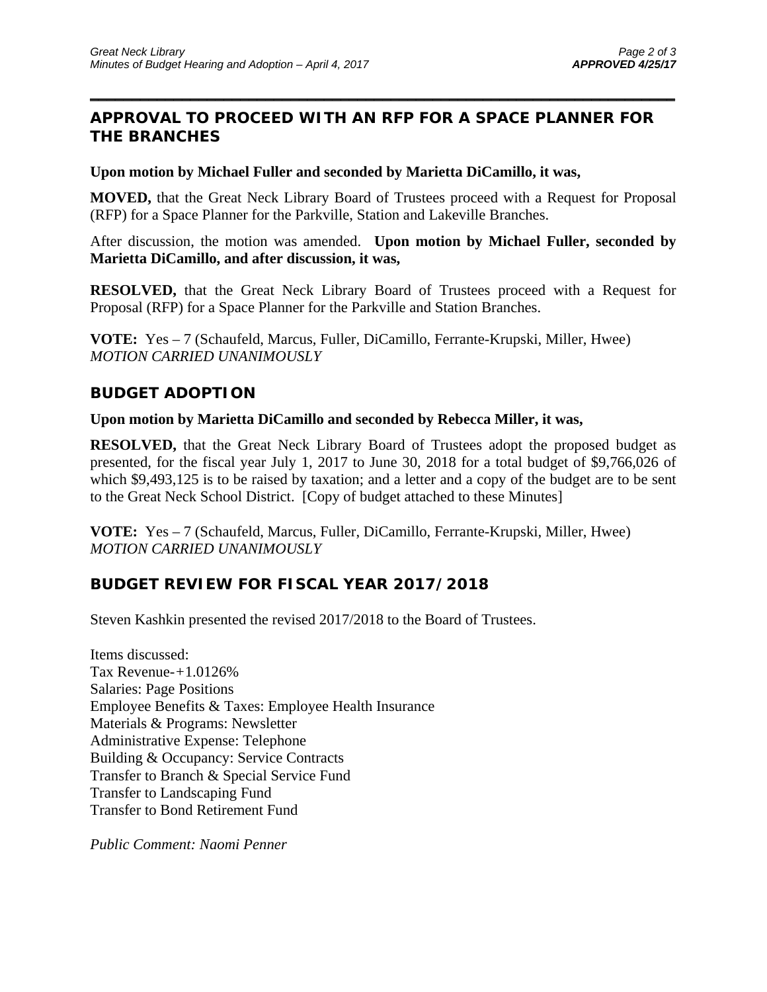## **APPROVAL TO PROCEED WITH AN RFP FOR A SPACE PLANNER FOR THE BRANCHES**

 $\overline{\phantom{a}}$  , and the contract of the contract of the contract of the contract of the contract of the contract of the contract of the contract of the contract of the contract of the contract of the contract of the contrac

#### **Upon motion by Michael Fuller and seconded by Marietta DiCamillo, it was,**

**MOVED,** that the Great Neck Library Board of Trustees proceed with a Request for Proposal (RFP) for a Space Planner for the Parkville, Station and Lakeville Branches.

After discussion, the motion was amended. **Upon motion by Michael Fuller, seconded by Marietta DiCamillo, and after discussion, it was,** 

**RESOLVED,** that the Great Neck Library Board of Trustees proceed with a Request for Proposal (RFP) for a Space Planner for the Parkville and Station Branches.

**VOTE:** Yes – 7 (Schaufeld, Marcus, Fuller, DiCamillo, Ferrante-Krupski, Miller, Hwee) *MOTION CARRIED UNANIMOUSLY* 

#### **BUDGET ADOPTION**

#### **Upon motion by Marietta DiCamillo and seconded by Rebecca Miller, it was,**

**RESOLVED,** that the Great Neck Library Board of Trustees adopt the proposed budget as presented, for the fiscal year July 1, 2017 to June 30, 2018 for a total budget of \$9,766,026 of which \$9,493,125 is to be raised by taxation; and a letter and a copy of the budget are to be sent to the Great Neck School District. [Copy of budget attached to these Minutes]

**VOTE:** Yes – 7 (Schaufeld, Marcus, Fuller, DiCamillo, Ferrante-Krupski, Miller, Hwee) *MOTION CARRIED UNANIMOUSLY* 

#### **BUDGET REVIEW FOR FISCAL YEAR 2017/2018**

Steven Kashkin presented the revised 2017/2018 to the Board of Trustees.

Items discussed: Tax Revenue-*+*1.0126% Salaries: Page Positions Employee Benefits & Taxes: Employee Health Insurance Materials & Programs: Newsletter Administrative Expense: Telephone Building & Occupancy: Service Contracts Transfer to Branch & Special Service Fund Transfer to Landscaping Fund Transfer to Bond Retirement Fund

*Public Comment: Naomi Penner*